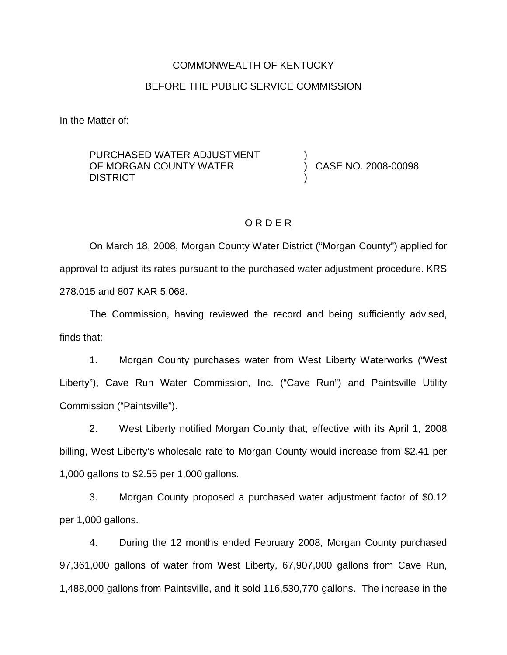# COMMONWEALTH OF KENTUCKY BEFORE THE PUBLIC SERVICE COMMISSION

In the Matter of:

PURCHASED WATER ADJUSTMENT OF MORGAN COUNTY WATER **DISTRICT** 

) CASE NO. 2008-00098

## O R D E R

)

)

On March 18, 2008, Morgan County Water District ("Morgan County") applied for approval to adjust its rates pursuant to the purchased water adjustment procedure. KRS 278.015 and 807 KAR 5:068.

The Commission, having reviewed the record and being sufficiently advised, finds that:

1. Morgan County purchases water from West Liberty Waterworks ("West Liberty"), Cave Run Water Commission, Inc. ("Cave Run") and Paintsville Utility Commission ("Paintsville").

2. West Liberty notified Morgan County that, effective with its April 1, 2008 billing, West Liberty's wholesale rate to Morgan County would increase from \$2.41 per 1,000 gallons to \$2.55 per 1,000 gallons.

3. Morgan County proposed a purchased water adjustment factor of \$0.12 per 1,000 gallons.

4. During the 12 months ended February 2008, Morgan County purchased 97,361,000 gallons of water from West Liberty, 67,907,000 gallons from Cave Run, 1,488,000 gallons from Paintsville, and it sold 116,530,770 gallons. The increase in the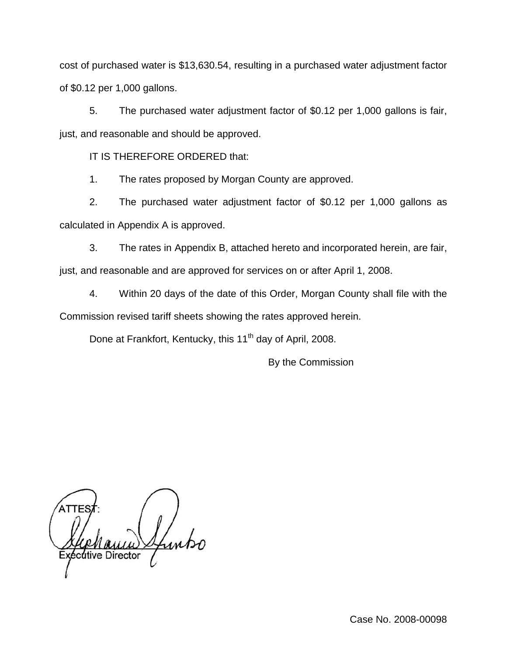cost of purchased water is \$13,630.54, resulting in a purchased water adjustment factor of \$0.12 per 1,000 gallons.

5. The purchased water adjustment factor of \$0.12 per 1,000 gallons is fair, just, and reasonable and should be approved.

IT IS THEREFORE ORDERED that:

1. The rates proposed by Morgan County are approved.

2. The purchased water adjustment factor of \$0.12 per 1,000 gallons as calculated in Appendix A is approved.

3. The rates in Appendix B, attached hereto and incorporated herein, are fair, just, and reasonable and are approved for services on or after April 1, 2008.

4. Within 20 days of the date of this Order, Morgan County shall file with the Commission revised tariff sheets showing the rates approved herein.

Done at Frankfort, Kentucky, this 11<sup>th</sup> day of April, 2008.

By the Commission

cutive Director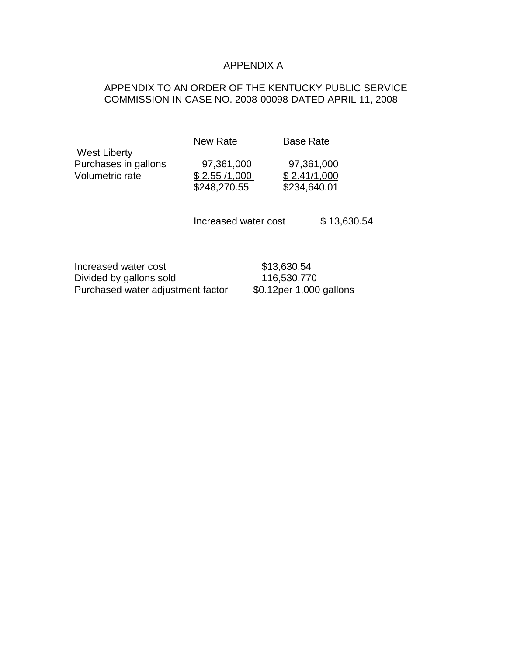#### APPENDIX A

## APPENDIX TO AN ORDER OF THE KENTUCKY PUBLIC SERVICE COMMISSION IN CASE NO. 2008-00098 DATED APRIL 11, 2008

New Rate Base Rate

Purchases in gallons 97,361,000 97,361,000  $$248,270.55$ 

Volumetric rate \$ 2.55 /1,000 \$ 2.41/1,000

Increased water cost \$ 13,630.54

Increased water cost \$13,630.54 Divided by gallons sold 116,530,770<br>Purchased water adjustment factor \$0.12per 1,000 gallons Purchased water adjustment factor

West Liberty